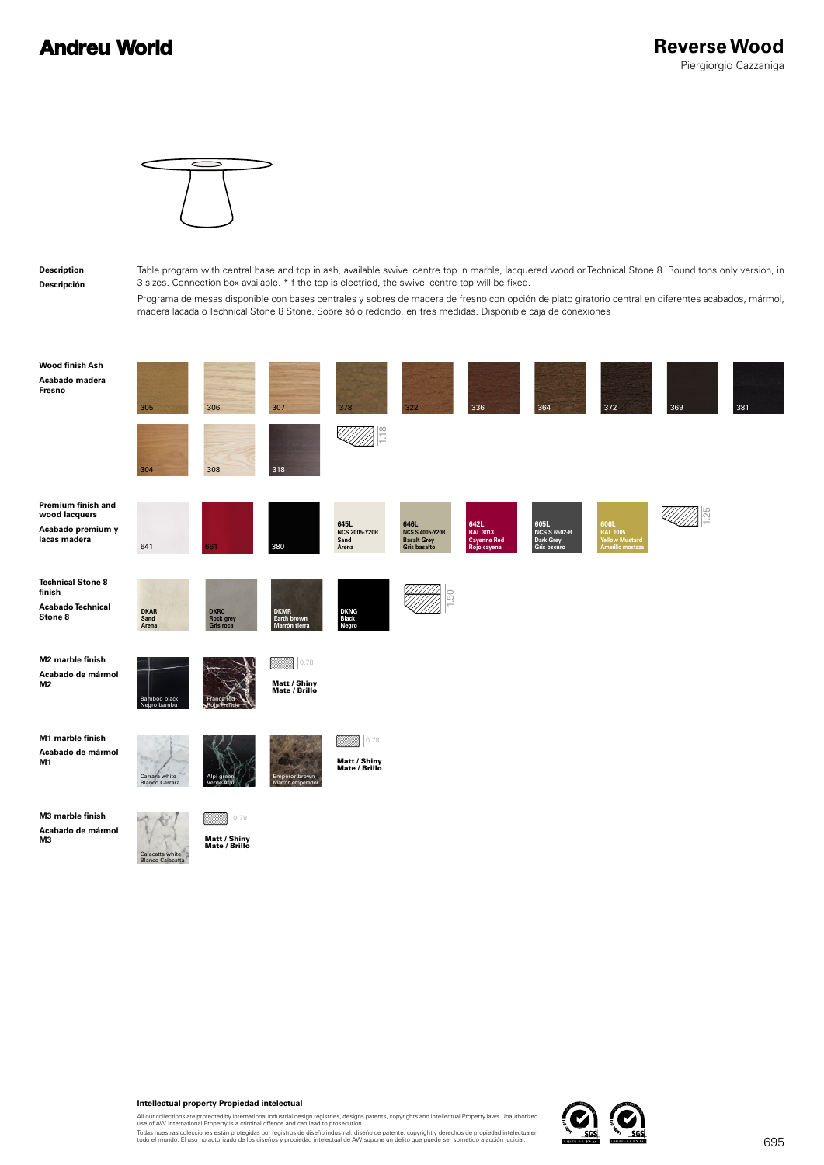## **Andreu World**



## **Description Descripción**

Table program with central base and top in ash, available swivel centre top in marble, lacquered wood or Technical Stone 8. Round tops only version, in 3 sizes. Connection box available. \*If the top is electried, the swivel centre top will be fixed.

Programa de mesas disponible con bases centrales y sobres de madera de fresno con opción de plato giratorio central en diferentes acabados, mármol, madera lacada o Technical Stone 8 Stone. Sobre sólo redondo, en tres medidas. Disponible caja de conexiones

| Wood finish Ash<br>Acabado madera<br>Fresno                               | 305                                    | 306                                          | 307                                          | 378                                           | 322                                                                  | 336                                                          | 364                                                     | 372                                                                  | 369 | 381 |
|---------------------------------------------------------------------------|----------------------------------------|----------------------------------------------|----------------------------------------------|-----------------------------------------------|----------------------------------------------------------------------|--------------------------------------------------------------|---------------------------------------------------------|----------------------------------------------------------------------|-----|-----|
|                                                                           | 304                                    | 308                                          | 318                                          | $\frac{8}{10}$                                |                                                                      |                                                              |                                                         |                                                                      |     |     |
| Premium finish and<br>wood lacquers<br>Acabado premium y<br>lacas madera  | 641                                    | 661                                          | 380                                          | 645L<br><b>NCS 2005-Y20R</b><br>Sand<br>Arena | 646L<br><b>NCS S 4005-Y20R</b><br><b>Basalt Grey</b><br>Gris basalto | 642L<br><b>RAL 3013</b><br><b>Cayenne Red</b><br>Rojo cayena | 605L<br><b>NCS S 6502-B</b><br>Dark Grey<br>Gris oscuro | 606L<br><b>RAL 1005</b><br><b>Yellow Mustard</b><br>Amarillo mostaza |     |     |
| <b>Technical Stone 8</b><br>finish<br><b>Acabado Technical</b><br>Stone 8 | <b>DKAR</b><br>Sand<br>Arena           | <b>DKRC</b><br><b>Rock grey</b><br>Gris roca | <b>DKMR</b><br>Earth brown<br>Marrón tierra  | <b>DKNG</b><br>Black<br>Negro                 |                                                                      |                                                              |                                                         |                                                                      |     |     |
| M2 marble finish<br>Acabado de mármol<br>M2                               | Bamboo black<br>Negro bambú            |                                              | 0.78<br>UMM<br>Matt / Shiny<br>Mate / Brillo |                                               |                                                                      |                                                              |                                                         |                                                                      |     |     |
| M1 marble finish<br>Acabado de mármol<br>M1                               | Carrara white<br><b>Blanco Carrara</b> | Alpi g<br>Verde Alp                          | <b>Emperor brown</b><br>Marrón emperador     | 0.78<br>Matt / Shiny<br>Mate / Brillo         |                                                                      |                                                              |                                                         |                                                                      |     |     |
| M3 marble finish<br>Acabado de mármol<br>М3                               |                                        | 0.78<br><b>Matt / Shiny</b>                  |                                              |                                               |                                                                      |                                                              |                                                         |                                                                      |     |     |

**Intellectual property Propiedad intelectual**

Matt / Shiny Mate / Brillo

Calacatta white Blanco Calacatta

All our collections are protected by international industrial design registries, designs patents, copyrights and intellectual Property laws.Unauthorized<br>use of AW International Property is a criminal offence and can lead t

Todas nuestras colecciones están protegidas por registros de diseño industrial, diseño de patente, copyright y derechos de propiedad intelectualen<br>todo el mundo. El uso no autorizado de los diseños y propiedad intelectual